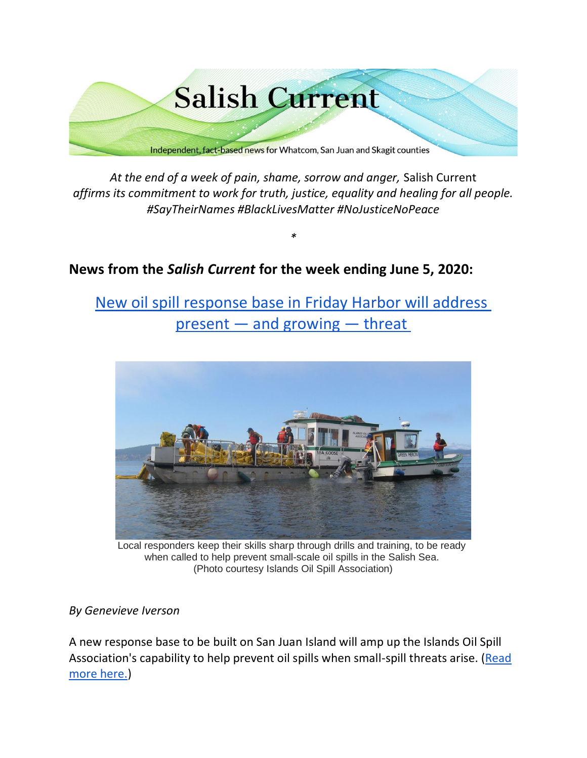

*At the end of a week of pain, shame, sorrow and anger,* Salish Current *affirms its commitment to work for truth, justice, equality and healing for all people. #SayTheirNames #BlackLivesMatter #NoJusticeNoPeace*

*\**

# **News from the** *Salish Current* **for the week ending June 5, 2020:**

[New oil spill response base in Friday Harbor will address](https://salish-current.org/2020/06/05/new-oil-spill-response-base-in-friday-harbor-will-address-present-and-growing-threat/) present — [and growing](https://salish-current.org/2020/06/05/new-oil-spill-response-base-in-friday-harbor-will-address-present-and-growing-threat/) — threat



Local responders keep their skills sharp through drills and training, to be ready when called to help prevent small-scale oil spills in the Salish Sea. (Photo courtesy Islands Oil Spill Association)

## *By Genevieve Iverson*

A new response base to be built on San Juan Island will amp up the Islands Oil Spill Association's capability to help prevent oil spills when small-spill threats arise. (Read [more here.\)](https://salish-current.org/2020/06/05/new-oil-spill-response-base-in-friday-harbor-will-address-present-and-growing-threat/)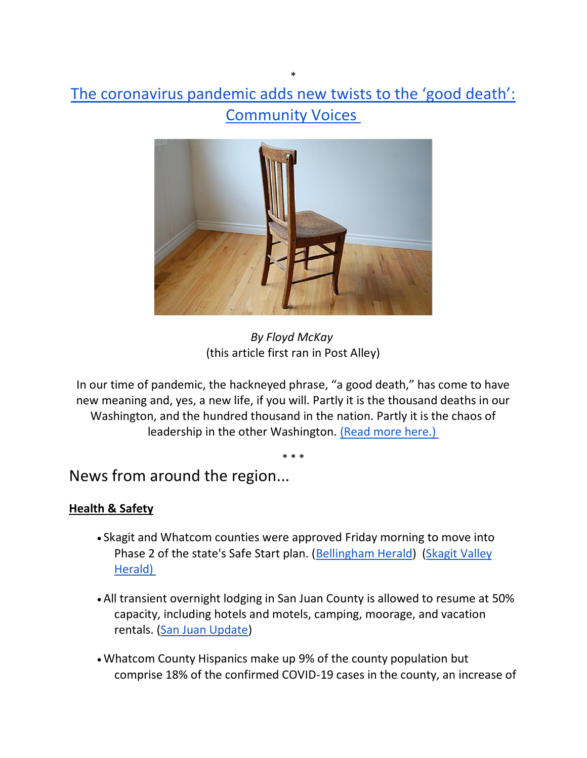# \* [The coronavirus pandemic adds new twists to the 'good death':](https://salish-current.org/2020/06/04/the-coronavirus-pandemic-adds-new-twists-to-the-good-death-community-voices/)  [Community Voices](https://salish-current.org/2020/06/04/the-coronavirus-pandemic-adds-new-twists-to-the-good-death-community-voices/)



*By Floyd McKay* (this article first ran in Post Alley)

In our time of pandemic, the hackneyed phrase, "a good death," has come to have new meaning and, yes, a new life, if you will. Partly it is the thousand deaths in our Washington, and the hundred thousand in the nation. Partly it is the chaos of leadership in the other Washington. [\(Read more](https://salish-current.org/2020/06/04/the-coronavirus-pandemic-adds-new-twists-to-the-good-death-community-voices/) here.)

\* \* \*

News from around the region...

## **Health & Safety**

- Skagit and Whatcom counties were approved Friday morning to move into Phase 2 of the state's Safe Start plan. [\(Bellingham Herald\)](https://www.bellinghamherald.com/news/coronavirus/article243249861.html?) (Skagit Valley [Herald\)](https://www.goskagit.com/news/local_news/county-moves-into-phase-2/article_a27dba1c-8146-5634-b0c0-90817559450c.html)
- All transient overnight lodging in San Juan County is allowed to resume at 50% capacity, including hotels and motels, camping, moorage, and vacation rentals. [\(San Juan Update\)](https://sanjuanupdate.com/2020/06/updated-health-officer-order-on-transient-lodging/)
- Whatcom County Hispanics make up 9% of the county population but comprise 18% of the confirmed COVID-19 cases in the county, an increase of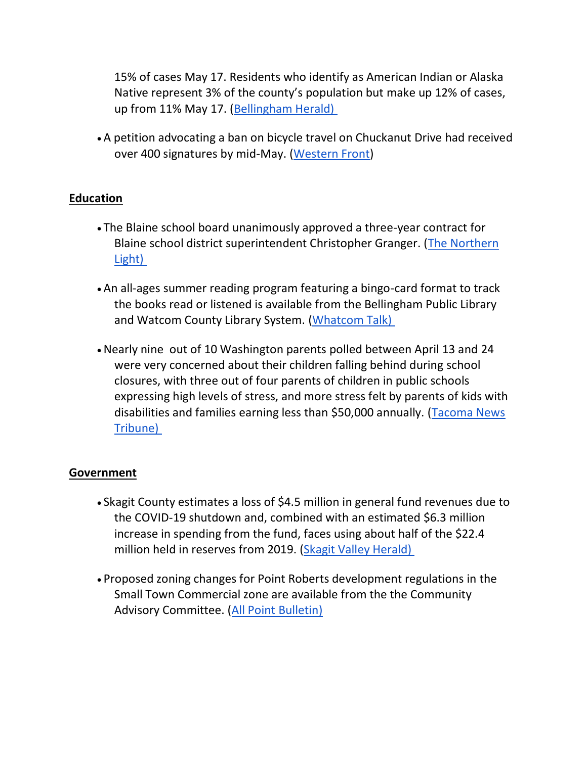15% of cases May 17. Residents who identify as American Indian or Alaska Native represent 3% of the county's population but make up 12% of cases, up from 11% May 17. [\(Bellingham Herald\)](https://www.bellinghamherald.com/news/coronavirus/article243139586.html)

• A petition advocating a ban on bicycle travel on Chuckanut Drive had received over 400 signatures by mid-May. [\(Western Front\)](https://www.westernfrontonline.com/2020/05/28/petition-starts-cycling-safety-debate/)

## **Education**

- The Blaine school board unanimously approved a three-year contract for Blaine school district superintendent Christopher Granger. [\(The Northern](https://www.thenorthernlight.com/stories/school-board-approves-new-three-year-contract-for-superintendent,10652?)  [Light\)](https://www.thenorthernlight.com/stories/school-board-approves-new-three-year-contract-for-superintendent,10652?)
- An all-ages summer reading program featuring a bingo-card format to track the books read or listened is available from the Bellingham Public Library and Watcom County Library System. [\(Whatcom Talk\)](https://www.whatcomtalk.com/2020/06/01/bellingham-public-library-and-whatcom-county-library-system-launch-annual-summer-reading-program/)
- •Nearly nine out of 10 Washington parents polled between April 13 and 24 were very concerned about their children falling behind during school closures, with three out of four parents of children in public schools expressing high levels of stress, and more stress felt by parents of kids with disabilities and families earning less than \$50,000 annually. [\(Tacoma News](https://www.thenewstribune.com/news/coronavirus/article243181421.html)  [Tribune\)](https://www.thenewstribune.com/news/coronavirus/article243181421.html)

## **Government**

- Skagit County estimates a loss of \$4.5 million in general fund revenues due to the COVID-19 shutdown and, combined with an estimated \$6.3 million increase in spending from the fund, faces using about half of the \$22.4 million held in reserves from 2019. [\(Skagit Valley Herald\)](https://www.goskagit.com/news/local_news/county-considers-budget-cuts-in-wake-of-covid-19/article_16feb795-253d-5ba9-b7d3-1b88edb90be5.html)
- Proposed zoning changes for Point Roberts development regulations in the Small Town Commercial zone are available from the the Community Advisory Committee. [\(All Point Bulletin\)](https://www.allpointbulletin.com/stories/proposed-zoning-changes-circulated,10626)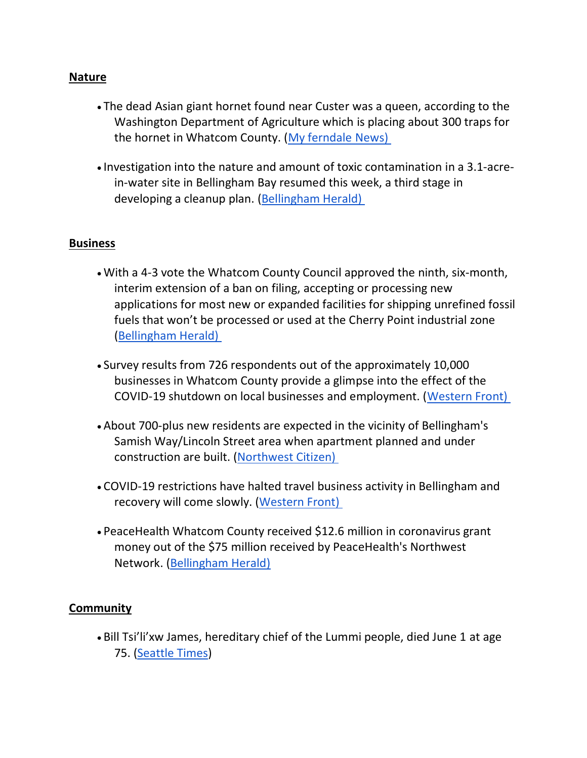### **Nature**

- The dead Asian giant hornet found near Custer was a queen, according to the Washington Department of Agriculture which is placing about 300 traps for the hornet in Whatcom County. [\(My ferndale News\)](https://myferndalenews.com/asian-giant-hornet-found-in-custer-was-a-queen_103735/)
- Investigation into the nature and amount of toxic contamination in a 3.1-acrein-water site in Bellingham Bay resumed this week, a third stage in developing a cleanup plan. [\(Bellingham Herald\)](https://www.bellinghamherald.com/news/local/article243168966.html)

#### **Business**

- With a 4-3 vote the Whatcom County Council approved the ninth, six-month, interim extension of a ban on filing, accepting or processing new applications for most new or expanded facilities for shipping unrefined fossil fuels that won't be processed or used at the Cherry Point industrial zone [\(Bellingham Herald\)](https://www.bellinghamherald.com/news/local/article243220616.html)
- Survey results from 726 respondents out of the approximately 10,000 businesses in Whatcom County provide a glimpse into the effect of the COVID-19 shutdown on local businesses and employment. [\(Western Front\)](https://www.westernfrontonline.com/2020/05/30/survey-shows-whatcom-countys-small-businesses-are-struggling/)
- About 700-plus new residents are expected in the vicinity of Bellingham's Samish Way/Lincoln Street area when apartment planned and under construction are built. [\(Northwest Citizen\)](https://nwcitizen.com/entry/gridlock-in-the-making)
- COVID-19 restrictions have halted travel business activity in Bellingham and recovery will come slowly. [\(Western Front\)](https://www.westernfrontonline.com/2020/06/02/covid-19-restrictions-cripple-bellingham-travel-industry/)
- PeaceHealth Whatcom County received \$12.6 million in coronavirus grant money out of the \$75 million received by PeaceHealth's Northwest Network. [\(Bellingham Herald\)](https://www.bellinghamherald.com/news/coronavirus/article243013026.html)

## **Community**

• Bill Tsi'li'xw James, hereditary chief of the Lummi people, died June 1 at age 75. [\(Seattle Times\)](https://www.seattletimes.com/seattle-news/bill-james-hereditary-chief-at-lummi-master-weaver-dies-at-age-75/?utm_source=referral&utm_medium=mobile-app&utm_campaign=ios)